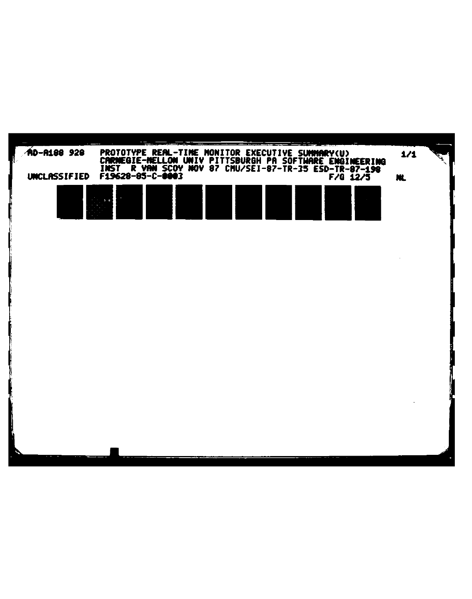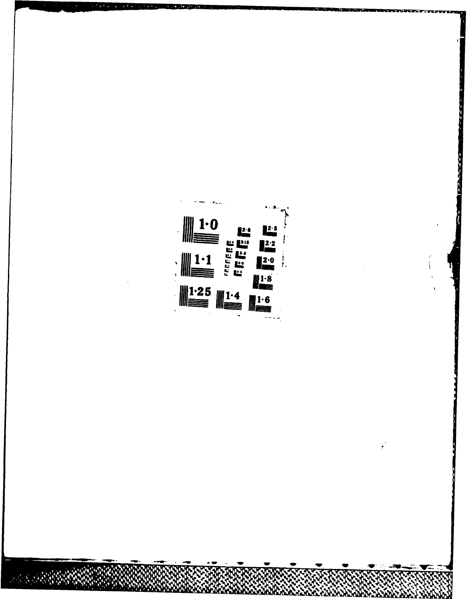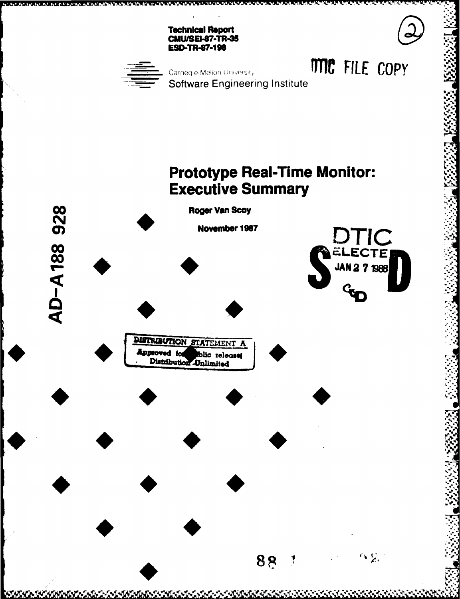

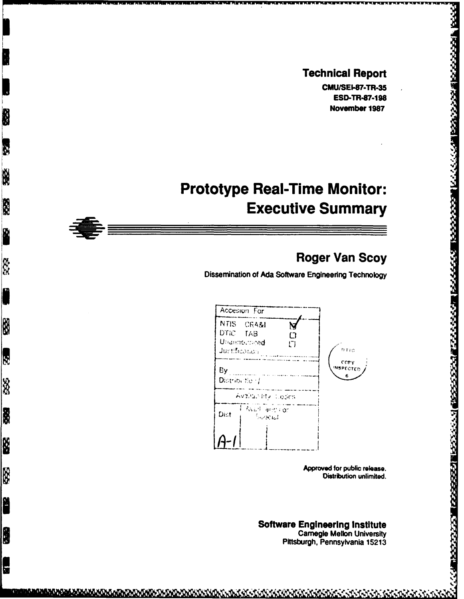# アンスト しょうこう まんぐん あいこう アンプラン あくくくくくつ 19992233 22333339 23333339 33333334 234333339 2333333

# **Technical Report**

**CMU/SEI-87-TR-35 ESD-TR-87-198** November 1987

# **Prototype Real-Time Monitor: Executive Summary**

**R** 

M

R

R

F

 $\frac{8}{3}$ 

B

 $\mathbf{g}$ 

33

B

K

**B** 

P

i.

٦

# **Roger Van Scov**

Dissemination of Ada Software Engineering Technology



Approved for public release. Distribution unlimited.

**Software Engineering Institute Carnegie Mellon University** Pittsburgh, Pennsylvania 15213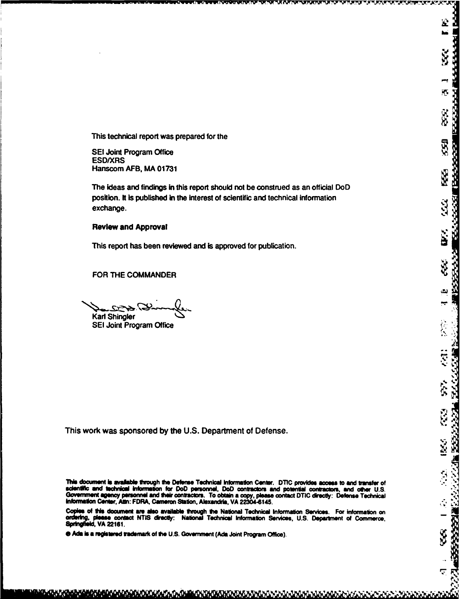This technical report was prepared for the

**SEI Joint Program Office ESD/XRS** Hanscom AFB, MA 01731

The ideas and findings in this report should not be construed as an official DoD position. It is published in the interest of scientific and technical information exchange.

### **Review and Approval**

This report has been reviewed and is approved for publication.

FOR THE COMMANDER

 $\sim$ Karl Shingler

**SEI Joint Program Office** 

**ADAQADA** 

This work was sponsored by the U.S. Department of Defense.

This document is available through the Defense Technical Information Center. DTIC provides access to and transfer of scientific and technical information for DoD personnel, DoD contractors and potential contractors, and other U.S. Government agency personnel and their contractors. To obtain a copy, please contact DTIC directly: Defense Technical<br>Information Center, Attn: FDRA, Cameron Station, Alexandria, VA 22304-6145.

Copies of this document are also available through the National Technical Information Services. For information on<br>ordering, please contact NTIS directly: National Technical Information Services, U.S. Department of Commerc

@ Ada is a registered trademark of the U.S. Government (Ada Joint Program Office).

**OURVOUUVO** 

**ACACACAMATADA**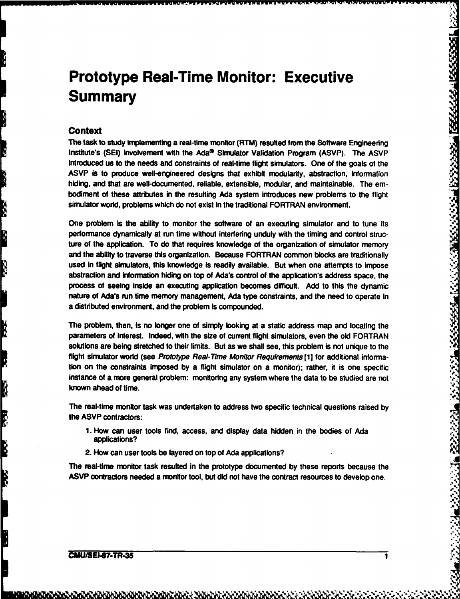# **Prototype Real-Time Monitor: Executive Summary**

### Context

B

N

i.<br>K

ı.<br>İs

**Recent** 

E

Ř

ķ

Es al

The task to study implementing a real-time monitor (RTM) resulted from the Software Engineering Institute's (SEI) involvement with the Ada® Simulator Validation Program (ASVP). The ASVP introduced us to the needs and constraints of real-time flight simulators. One of the goals of the<br>ASVP is to produce well-engineered designs that exhibit modularity, abstraction, information hiding, and that are well-documented, reliable, extensible, modular, and maintainable. The em-<br>bodiment of these attributes in the resulting Ada system introduces new problems to the flight simulator world, problems which do not exist in the traditional FORTRAN environment.

One problem is the ability to monitor the software of an executing simulator and to tune its performance dynamically at run time without Interfering unduly with the timing and control structure of the application. To do that requires knowledge of the organization of simulator memory and the ability to traverse this organization. Because FORTRAN common biocks are traditionally used in flight simulators, this knowledge is readily available. But when one attempts to impose abstraction and information hiding on top of Ada's control of the application's address space, the process of seeing Inside an executing application becomes difficult. **Add** to this the dynamic nature of Ada's run time memory management, Ada type constraints, and the need to operate in a distributed environment, and the problem is compounded.

The problem, then, is no longer one of simply looking at a static address map and locating the parameters of Interest. Indeed, with the size of current flight simulators, when the old Forth States of the o<br>Additional and below dealershed in the six of the old FORTRAND of the old FORTRAND is not unlimentally in the solutions are being stretched to their limits. But as we shall see, this problem is not unique to the flight simulator world (see Prototype Real-Time Monitor Requirements [1] for additional information on the constraints Imposed **by** a flight simulator on a monitor); rather, **it** is one specific instance of a more general problem: monitoring any system where the data to be studied are not known ahead of time.

The real-time monitor task was undertaken to address two specific technical questions raised **by**

- the ASVP contractors:<br>
1. How can user tools find, access, and display data hidden in the bodies of Ada<br>
applications?<br>
2. How can user tools be lavered on top of Ada applications? **1.** How can user tools find, access, and display data hidden in the bodies of Ada applications?
	- 2. How can user tools be layered on top of Ada applications?

The real-time monitor task resulted in the prototype documented **by** these reports because the **7 ASVP** contractors needed a monitor tool, but did not have the contract resources to develop one.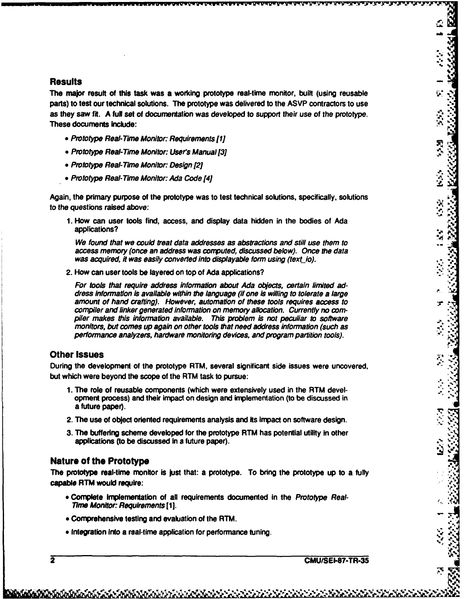### Results **-**

The major result of this task was a working prototype real-time monitor, built (using reusable parts) to test our technical solutions. The prototype was delivered to the **ASVP** contractors to use as they saw **fit. A** full set of documentation was developed to support their use of the prototype. These documents include:

- \* Prototype Real-Time Monitor: Requirements *111*
- \* Prototype Real- *Time* Monitor: *Users* Manual **13]**
- \* *Prototype* Real-Time Monitor: Design **[2]**
- Prototype Real-Time Monitor: **Ada** Code **[4]**

Again, the primary purpose of the prototype was to test technical solutions, specifically, solutions to the questions raised above:

**1.** How can user tools find, access, and display data hidden in the bodies of Ada applications?

We found that we could treat data addresses as abstractions and still use them to access memory (once an address was computed, discussed below). Once *the* data was acquired, *it was easily converted into displayable form using (text\_io)*.

2. How can user tools **be** layered on top of Ada applications?

For tools that require address information about Ada objects, certain *limited* address information is available within *the* language **(if** one is willing to tolerate a large amount of hand crafting). However, automation of these tools requires access to compiler and linker generated *information* on memory allocation. Currently no compiler makes this *information* available. This problem *is* not peculiar to software monitors, but comes up again on other tools that need address information (such as<br>*performance analyzers, hardware monitoring devices, and program partition tools)*.

### Other Issues

During the development of the prototype RTM, several significant side issues were uncovered, but which were beyond the scope of the RTM task to pursue:

- **1.** The role of reusable components (which were extensively used in the RTM development process) and their impact on design and implementation (to be discussed in a future paper).
- 2. The use of object oriented requirements analysis and its impact on software design.
- **3.** The buffering scheme developed for the prototype RTM has potential utility in other applications (to be discussed in a future paper).

### Nature of the Prototype

The prototype real-time monitor is just that: a prototype. To bring the prototype up to a **fully** capable **RTM** would require:

- \* Complete Implementation of all requirements documented In the **Prototype** Real-*Time* Monitor: Requirements **[1).**
- Comprehensive testing and evaluation of the RTM.
- Integration Into a real-time application for performance tuning.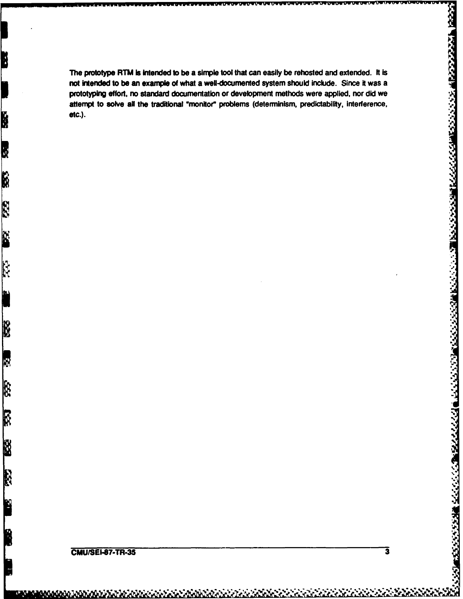The prototype RTM is intended to be a simple tool that can easily be rehosted and extended. It is not **Wnended** to **be** an example of what a well-documented system should Include. Since **It** was a prototyping effort, no standard documentation or development methods were applied, nor did we attempt to solve all the traditional "monitor" problems (determinism, predictability, interference, etc.).

É

**B** 

R

 $\ddot{\mathbf{g}}$ 

 $\overline{53}$ 

**R** 

R

8

IS.

 $\mathbb{R}$ 

R

**RE** 

E

J.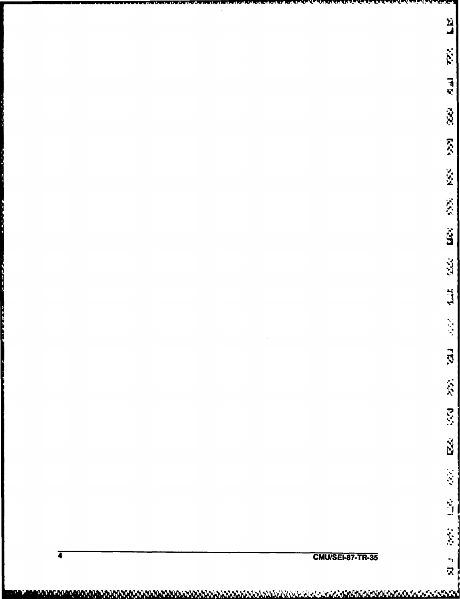| 73 J VO<br>۰۸۴.<br>المحافر<br>$\cdot$ |                  |
|---------------------------------------|------------------|
|                                       | $\mathbf{z}$     |
|                                       | $\mathbf{z}_i$   |
|                                       | $\frac{1}{2}$    |
|                                       | Ň                |
|                                       | <b>RES</b>       |
|                                       | 15 <sup>2</sup>  |
|                                       | <b>Recent</b>    |
|                                       | <b>GEX</b>       |
|                                       | 252              |
|                                       | <b>Juli</b>      |
|                                       | Ñ,               |
|                                       | $\vec{p}$        |
|                                       | $\sum_{i=1}^{n}$ |
|                                       | $\sum_{i=1}^{n}$ |
|                                       | $\mathbf{z}$     |
|                                       |                  |
|                                       |                  |
|                                       |                  |
| CMUCEL 07 TO 25                       |                  |

Ωħ.

71  $\ddot{\mathbf{x}}$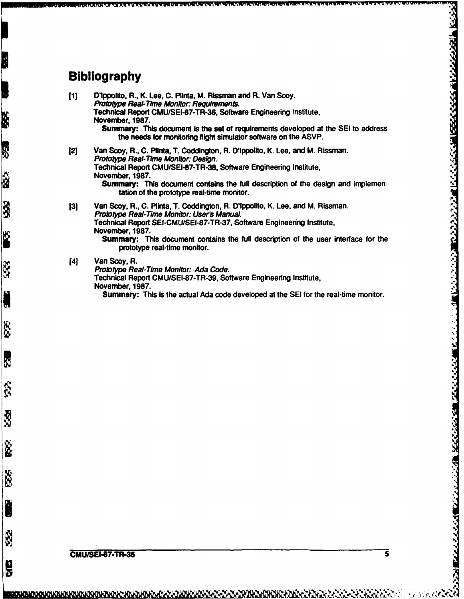# **Bibliography**

 $\begin{bmatrix} 1 \\ 2 \end{bmatrix}$ 

ļ.

**B** 

 $\overline{\mathbf{z}}$ 

**SEX** 

553

**IS** 

 $\overline{\mathbf{g}}$ 

L.

 $\frac{8}{2}$ 

**K** 

 $\hat{\mathcal{E}}$ 

 $\tilde{z}$ 

Š

8

I

\$X

**All** 

| $[1]$ | D'Ippolito, R., K. Lee, C. Plinta, M. Rissman and R. Van Scoy.<br>Prototype Real-Time Monitor: Requirements.                                                |  |
|-------|-------------------------------------------------------------------------------------------------------------------------------------------------------------|--|
|       | Technical Report CMU/SEI-87-TR-36, Software Engineering Institute,<br>November, 1987.                                                                       |  |
|       | <b>Summary:</b> This document is the set of requirements developed at the SEI to address<br>the needs for monitoring flight simulator software on the ASVP. |  |
| [2]   | Van Scoy, R., C. Plinta, T. Coddington, R. D'ippolito, K. Lee, and M. Rissman.<br>Prototype Real-Time Monitor: Design.                                      |  |
|       | Technical Report CMU/SEI-87-TR-38, Software Engineering Institute,                                                                                          |  |
|       | November, 1987.<br>Summary: This document contains the full description of the design and implemen-<br>tation of the prototype real-time monitor.           |  |
| [3]   | Van Scoy, R., C. Plinta, T. Coddington, R. D'ippolito, K. Lee, and M. Rissman.<br>Prototype Real-Time Monitor: User's Manual.                               |  |
|       | Technical Report SEI-CMU/SEI-87-TR-37, Software Engineering Institute,<br>November, 1987.                                                                   |  |
|       | <b>Summary:</b> This document contains the full description of the user interface for the<br>prototype real-time monitor.                                   |  |
| [4]   | Van Scoy, R.                                                                                                                                                |  |

**I.AJJ IWUWM** ~ ~ ~ ~ **U UIV** ~ **U** ~ **WU F** ~ ~ ~ **AUJ <sup>f</sup> iWUWrM** ~ ~ ~ Vr1VaW **V" \_** 

Prototype Real-Time Monitor: Ada Code. Technical Report **CMU/SEI-87-TR-39,** Software Engineering Institute, November, **1987.** Summary: This is the actual Ada code developed at the **SEI** for the real-time monitor.

### **CMUISEI-87-TR-35 5**

**BONDARYONONYAYAYAYAYAYAY**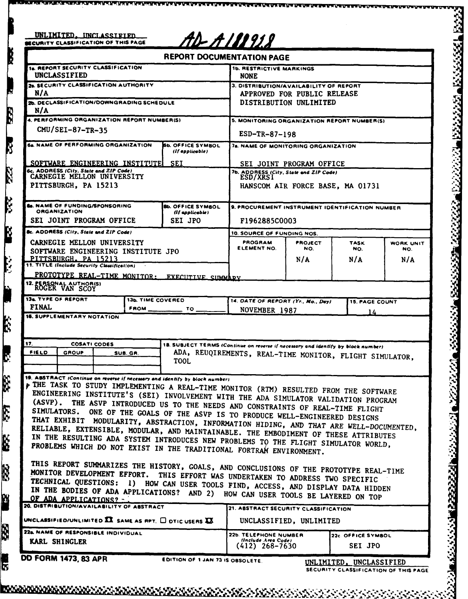| UNLIMITED. UNCLASSIFIED             |  |  |  |
|-------------------------------------|--|--|--|
| ECURITY CLASSIFICATION OF THIS PAGE |  |  |  |

E

 $\boldsymbol{\mathcal{B}}$ 

X

K

 $\boldsymbol{\mathsf{g}}$ 

**I** 

**ESS** ESS

22

क्ल

**RE** 

33

B

33

 $\mathbf{E}$ 

1909-2004 2005-2007-2008-2017-2018-2017-2018-2019

| ADA111918 |  |  |
|-----------|--|--|
|           |  |  |

REPORT **DOCUMENTATION PAGE**

| 14. REPORT SECURITY CLASSIFICATION                                                                                                                        |          | <b>KEPURT DUCUMENTATION PAGE</b>                                                                                                                                                                                                                                                                                                                                                                                                                                                                                                                                                                                                                                                                | <b>1b. RESTRICTIVE MARKINGS</b>                         |                             |                                  |                  |
|-----------------------------------------------------------------------------------------------------------------------------------------------------------|----------|-------------------------------------------------------------------------------------------------------------------------------------------------------------------------------------------------------------------------------------------------------------------------------------------------------------------------------------------------------------------------------------------------------------------------------------------------------------------------------------------------------------------------------------------------------------------------------------------------------------------------------------------------------------------------------------------------|---------------------------------------------------------|-----------------------------|----------------------------------|------------------|
| UNCLASSIFIED                                                                                                                                              |          |                                                                                                                                                                                                                                                                                                                                                                                                                                                                                                                                                                                                                                                                                                 | <b>NONE</b>                                             |                             |                                  |                  |
| 2a. SECURITY CLASSIFICATION AUTHORITY<br>N/A                                                                                                              |          |                                                                                                                                                                                                                                                                                                                                                                                                                                                                                                                                                                                                                                                                                                 | 3. DISTRIBUTION/AVAILABILITY OF REPORT                  | APPROVED FOR PUBLIC RELEASE |                                  |                  |
| 2b. DECLASSIFICATION/DOWNGRADING SCHEDULE                                                                                                                 |          |                                                                                                                                                                                                                                                                                                                                                                                                                                                                                                                                                                                                                                                                                                 |                                                         | DISTRIBUTION UNLIMITED      |                                  |                  |
| N/A                                                                                                                                                       |          |                                                                                                                                                                                                                                                                                                                                                                                                                                                                                                                                                                                                                                                                                                 |                                                         |                             |                                  |                  |
| 4. PERFORMING ORGANIZATION REPORT NUMBER(S)                                                                                                               |          |                                                                                                                                                                                                                                                                                                                                                                                                                                                                                                                                                                                                                                                                                                 | 5. MONITORING ORGANIZATION REPORT NUMBER(S)             |                             |                                  |                  |
| $CMU/SEI-87-TR-35$                                                                                                                                        |          |                                                                                                                                                                                                                                                                                                                                                                                                                                                                                                                                                                                                                                                                                                 | $ESD-TR-87-198$                                         |                             |                                  |                  |
| <b>64 NAME OF PERFORMING ORGANIZATION</b>                                                                                                                 |          | <b>6b. OFFICE SYMBOL</b>                                                                                                                                                                                                                                                                                                                                                                                                                                                                                                                                                                                                                                                                        | 78. NAME OF MONITORING ORGANIZATION                     |                             |                                  |                  |
|                                                                                                                                                           |          | (If applicable)                                                                                                                                                                                                                                                                                                                                                                                                                                                                                                                                                                                                                                                                                 |                                                         |                             |                                  |                  |
| SOFTWARE ENGINEERING INSTITUTE                                                                                                                            |          | <b>SEI</b>                                                                                                                                                                                                                                                                                                                                                                                                                                                                                                                                                                                                                                                                                      |                                                         | SEI JOINT PROGRAM OFFICE    |                                  |                  |
| 6c. ADDRESS (City, State and ZIP Code)<br>CARNEGIE MELLON UNIVERSITY                                                                                      |          |                                                                                                                                                                                                                                                                                                                                                                                                                                                                                                                                                                                                                                                                                                 | 7b. ADDRESS (City, State and ZIP Code)<br>ESD/XRS1      |                             |                                  |                  |
| PITTSBURGH, PA 15213                                                                                                                                      |          |                                                                                                                                                                                                                                                                                                                                                                                                                                                                                                                                                                                                                                                                                                 |                                                         |                             | HANSCOM AIR FORCE BASE, MA 01731 |                  |
|                                                                                                                                                           |          |                                                                                                                                                                                                                                                                                                                                                                                                                                                                                                                                                                                                                                                                                                 |                                                         |                             |                                  |                  |
| <b>&amp;. NAME OF FUNDING/SPONSORING</b><br><b>ORGANIZATION</b>                                                                                           |          | <b>8b. OFFICE SYMBOL</b><br>(If applicable)                                                                                                                                                                                                                                                                                                                                                                                                                                                                                                                                                                                                                                                     | 9. PROCUREMENT INSTRUMENT IDENTIFICATION NUMBER         |                             |                                  |                  |
| SEI JOINT PROGRAM OFFICE                                                                                                                                  |          | SEI JPO                                                                                                                                                                                                                                                                                                                                                                                                                                                                                                                                                                                                                                                                                         | F1962885C0003                                           |                             |                                  |                  |
| <b>Bc. ADDRESS (City, State and ZIP Code)</b>                                                                                                             |          |                                                                                                                                                                                                                                                                                                                                                                                                                                                                                                                                                                                                                                                                                                 | 10. SOURCE OF FUNDING NOS.                              |                             |                                  |                  |
| CARNEGIE MELLON UNIVERSITY                                                                                                                                |          |                                                                                                                                                                                                                                                                                                                                                                                                                                                                                                                                                                                                                                                                                                 | <b>PROGRAM</b>                                          | <b>PROJECT</b>              | <b>TASK</b>                      | <b>WORK UNIT</b> |
| SOFTWARE ENGINEERING INSTITUTE JPO                                                                                                                        |          |                                                                                                                                                                                                                                                                                                                                                                                                                                                                                                                                                                                                                                                                                                 | ELEMENT NO.                                             | NO.                         | NO.                              | NO.              |
| PITTSBURGH. PA 15213<br>11. TITLE (Include Security Classification)                                                                                       |          |                                                                                                                                                                                                                                                                                                                                                                                                                                                                                                                                                                                                                                                                                                 |                                                         | N/A                         | N/A                              | N/A              |
|                                                                                                                                                           |          | PROTOTYPE REAL-TIME MONITOR: EXECUTIVE SUMMADY                                                                                                                                                                                                                                                                                                                                                                                                                                                                                                                                                                                                                                                  |                                                         |                             |                                  |                  |
|                                                                                                                                                           |          |                                                                                                                                                                                                                                                                                                                                                                                                                                                                                                                                                                                                                                                                                                 |                                                         |                             |                                  |                  |
|                                                                                                                                                           |          |                                                                                                                                                                                                                                                                                                                                                                                                                                                                                                                                                                                                                                                                                                 |                                                         |                             |                                  |                  |
| 12. PERSONAL AUTHORISI                                                                                                                                    |          |                                                                                                                                                                                                                                                                                                                                                                                                                                                                                                                                                                                                                                                                                                 |                                                         |                             |                                  |                  |
| 13a. TYPE OF REPORT<br><b>FINAL</b><br>15. SUPPLEMENTARY NOTATION                                                                                         | FROM _   | <b>13b. TIME COVERED</b><br>$T$ o $_{-}$                                                                                                                                                                                                                                                                                                                                                                                                                                                                                                                                                                                                                                                        | 14. DATE OF REPORT (Yr., Mo., Day)<br>NOVEMBER 1987     |                             | <b>15. PAGE COUNT</b><br>14      |                  |
| 17.<br><b>COSATI CODES</b><br><b>FIELD</b><br><b>GROUP</b>                                                                                                | SUB. GR. | 18. SUBJECT TEAMS (Continue on reverse if necessary and identify by block number)<br><b>TOOL</b>                                                                                                                                                                                                                                                                                                                                                                                                                                                                                                                                                                                                | ADA, REUQIREMENTS, REAL-TIME MONITOR, FLIGHT SIMULATOR, |                             |                                  |                  |
|                                                                                                                                                           |          | 19. ABSTRACT (Continue on reverse if necessary and identify by block number)                                                                                                                                                                                                                                                                                                                                                                                                                                                                                                                                                                                                                    |                                                         |                             |                                  |                  |
|                                                                                                                                                           |          | FIHE TASK TO STUDY IMPLEMENTING A REAL-TIME MONITOR (RTM) RESULTED FROM THE SOFTWARE<br>ENGINEERING INSTITUTE'S (SEI) INVOLVEMENT WITH THE ADA SIMULATOR VALIDATION PROGRAM<br>(ASVP). THE ASVP INTRODUCED US TO THE NEEDS AND CONSTRAINTS OF REAL-TIME FLIGHT<br>SIMULATORS. ONE OF THE GOALS OF THE ASVP IS TO PRODUCE WELL-ENGINEERED DESIGNS<br>THAT EXHIBIT MODULARITY, ABSTRACTION, INFORMATION HIDING, AND THAT ARE WELL-DOCUMENTED,<br>RELIABLE, EXTENSIBLE, MODULAR, AND MAINTAINABLE. THE EMBODIMENT OF THESE ATTRIBUTES<br>IN THE RESULTING ADA SYSTEM INTRODUCES NEW PROBLEMS TO THE FLIGHT SIMULATOR WORLD,<br>PROBLEMS WHICH DO NOT EXIST IN THE TRADITIONAL FORTRAM ENVIRONMENT. |                                                         |                             |                                  |                  |
| OF ADA APPLICATIONS?<br>20. DISTRIBUTION/AVAILABILITY OF ABSTRACT                                                                                         |          | THIS REPORT SUMMARIZES THE HISTORY, GOALS, AND CONCLUSIONS OF THE PROTOTYPE REAL-TIME<br>MONITOR DEVELOPMENT EFFORT. THIS EFFORT WAS UNDERTAKEN TO ADDRESS TWO SPECIFIC<br>TECHNICAL QUESTIONS: 1) HOW CAN USER TOOLS FIND, ACCESS, AND DISPLAY DATA HIDDEN<br>IN THE BODIES OF ADA APPLICATIONS? AND 2) HOW CAN USER TOOLS BE LAYERED ON TOP                                                                                                                                                                                                                                                                                                                                                   |                                                         |                             |                                  |                  |
|                                                                                                                                                           |          |                                                                                                                                                                                                                                                                                                                                                                                                                                                                                                                                                                                                                                                                                                 | 21. ABSTRACT SECURITY CLASSIFICATION                    |                             |                                  |                  |
| UNCLASSIFIED/UNLIMITED $\overline{\mathbf{\Omega}}$ SAME AS RPT. $\square$ DTIC USERS $\overline{\mathbf{\Omega}}$<br>22a. NAME OF RESPONSIBLE INDIVIDUAL |          |                                                                                                                                                                                                                                                                                                                                                                                                                                                                                                                                                                                                                                                                                                 | 22b. TELEPHONE NUMBER                                   | UNCLASSIFIED, UNLIMITED     | 22c. OFFICE SYMBOL               |                  |

<u> DIBINERIA DI MANAZIA DI SE</u>